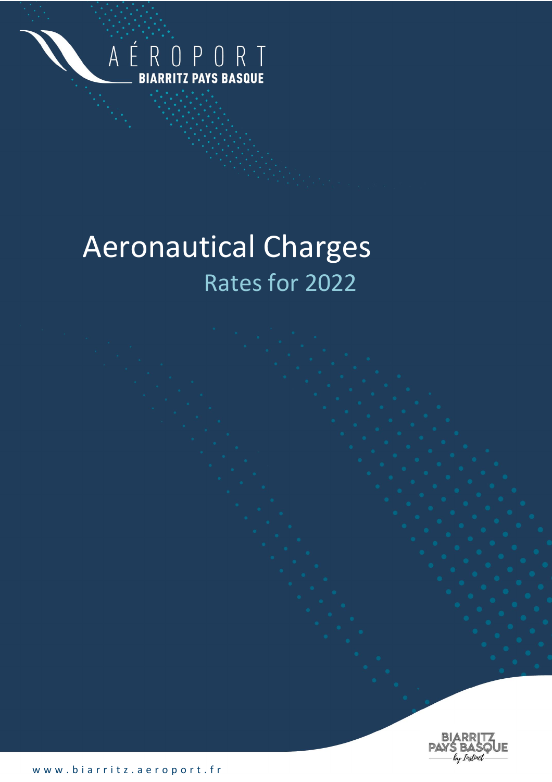

# Aeronautical Charges Rates for 2022

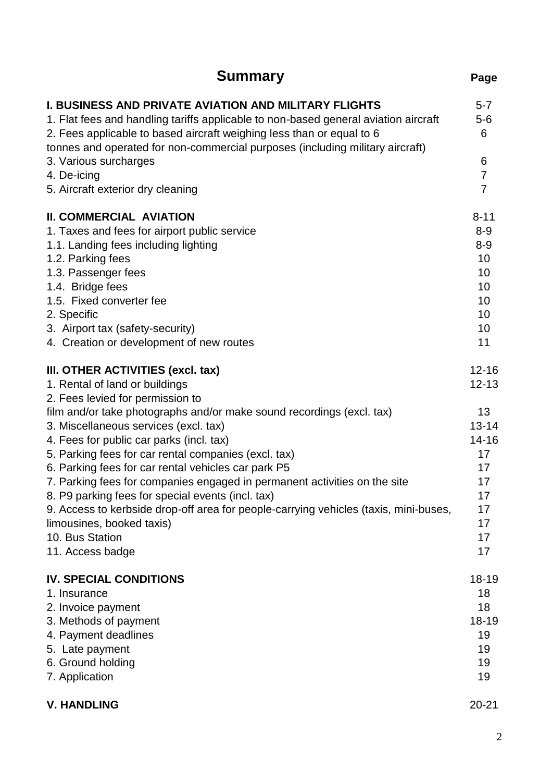| <b>Summary</b>                                                                                                                                                                                                                                                                                                | Page                  |
|---------------------------------------------------------------------------------------------------------------------------------------------------------------------------------------------------------------------------------------------------------------------------------------------------------------|-----------------------|
| <b>I. BUSINESS AND PRIVATE AVIATION AND MILITARY FLIGHTS</b><br>1. Flat fees and handling tariffs applicable to non-based general aviation aircraft<br>2. Fees applicable to based aircraft weighing less than or equal to 6<br>tonnes and operated for non-commercial purposes (including military aircraft) | $5 - 7$<br>$5-6$<br>6 |
| 3. Various surcharges<br>4. De-icing                                                                                                                                                                                                                                                                          | 6<br>$\overline{7}$   |
| 5. Aircraft exterior dry cleaning                                                                                                                                                                                                                                                                             | $\overline{7}$        |
| <b>II. COMMERCIAL AVIATION</b>                                                                                                                                                                                                                                                                                | $8 - 11$              |
| 1. Taxes and fees for airport public service                                                                                                                                                                                                                                                                  | $8 - 9$               |
| 1.1. Landing fees including lighting                                                                                                                                                                                                                                                                          | $8-9$                 |
| 1.2. Parking fees                                                                                                                                                                                                                                                                                             | 10                    |
| 1.3. Passenger fees                                                                                                                                                                                                                                                                                           | 10                    |
| 1.4. Bridge fees                                                                                                                                                                                                                                                                                              | 10                    |
| 1.5. Fixed converter fee                                                                                                                                                                                                                                                                                      | 10                    |
| 2. Specific                                                                                                                                                                                                                                                                                                   | 10                    |
| 3. Airport tax (safety-security)                                                                                                                                                                                                                                                                              | 10                    |
| 4. Creation or development of new routes                                                                                                                                                                                                                                                                      | 11                    |
| III. OTHER ACTIVITIES (excl. tax)                                                                                                                                                                                                                                                                             | $12 - 16$             |
| 1. Rental of land or buildings                                                                                                                                                                                                                                                                                | $12 - 13$             |
| 2. Fees levied for permission to                                                                                                                                                                                                                                                                              |                       |
| film and/or take photographs and/or make sound recordings (excl. tax)                                                                                                                                                                                                                                         | 13 <sup>°</sup>       |
| 3. Miscellaneous services (excl. tax)                                                                                                                                                                                                                                                                         | $13 - 14$             |
| 4. Fees for public car parks (incl. tax)                                                                                                                                                                                                                                                                      | 14-16                 |
| 5. Parking fees for car rental companies (excl. tax)                                                                                                                                                                                                                                                          | 17 <sup>2</sup>       |
| 6. Parking fees for car rental vehicles car park P5                                                                                                                                                                                                                                                           | 17 <sup>2</sup>       |
| 7. Parking fees for companies engaged in permanent activities on the site                                                                                                                                                                                                                                     | 17                    |
| 8. P9 parking fees for special events (incl. tax)                                                                                                                                                                                                                                                             | 17                    |
| 9. Access to kerbside drop-off area for people-carrying vehicles (taxis, mini-buses,                                                                                                                                                                                                                          | 17                    |
| limousines, booked taxis)                                                                                                                                                                                                                                                                                     | 17                    |
| 10. Bus Station                                                                                                                                                                                                                                                                                               | 17                    |
| 11. Access badge                                                                                                                                                                                                                                                                                              | 17                    |
| <b>IV. SPECIAL CONDITIONS</b>                                                                                                                                                                                                                                                                                 | 18-19                 |
| 1. Insurance                                                                                                                                                                                                                                                                                                  | 18                    |
| 2. Invoice payment                                                                                                                                                                                                                                                                                            | 18                    |
| 3. Methods of payment                                                                                                                                                                                                                                                                                         | 18-19                 |
| 4. Payment deadlines                                                                                                                                                                                                                                                                                          | 19                    |
| 5. Late payment                                                                                                                                                                                                                                                                                               | 19                    |
| 6. Ground holding                                                                                                                                                                                                                                                                                             | 19                    |
| 7. Application                                                                                                                                                                                                                                                                                                | 19                    |
| <b>V. HANDLING</b>                                                                                                                                                                                                                                                                                            | $20 - 21$             |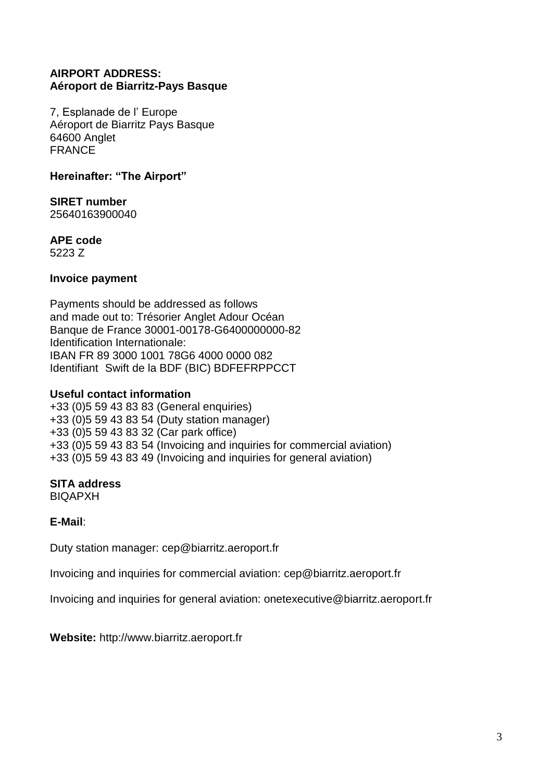# **AIRPORT ADDRESS: Aéroport de Biarritz-Pays Basque**

7, Esplanade de l' Europe Aéroport de Biarritz Pays Basque 64600 Anglet FRANCE

**Hereinafter: "The Airport"**

**SIRET number**  25640163900040

**APE code** 

5223 Z

## **Invoice payment**

Payments should be addressed as follows and made out to: Trésorier Anglet Adour Océan Banque de France 30001-00178-G6400000000-82 Identification Internationale: IBAN FR 89 3000 1001 78G6 4000 0000 082 Identifiant Swift de la BDF (BIC) BDFEFRPPCCT

# **Useful contact information**

+33 (0)5 59 43 83 83 (General enquiries) +33 (0)5 59 43 83 54 (Duty station manager) +33 (0)5 59 43 83 32 (Car park office) +33 (0)5 59 43 83 54 (Invoicing and inquiries for commercial aviation) +33 (0)5 59 43 83 49 (Invoicing and inquiries for general aviation)

# **SITA address**

BIQAPXH

**E-Mail**:

Duty station manager: [cep@biarritz.aeroport.fr](mailto:cep@biarritz.aeroport.fr)

Invoicing and inquiries for commercial aviation: [cep@biarritz.aeroport.fr](mailto:cep@biarritz.aeroport.fr)

Invoicing and inquiries for general aviation: onetexecutive@biarritz.aeroport.fr

**Website:** [http://www.biarritz.aeroport.fr](http://www.biarritz.aeroport.fr/)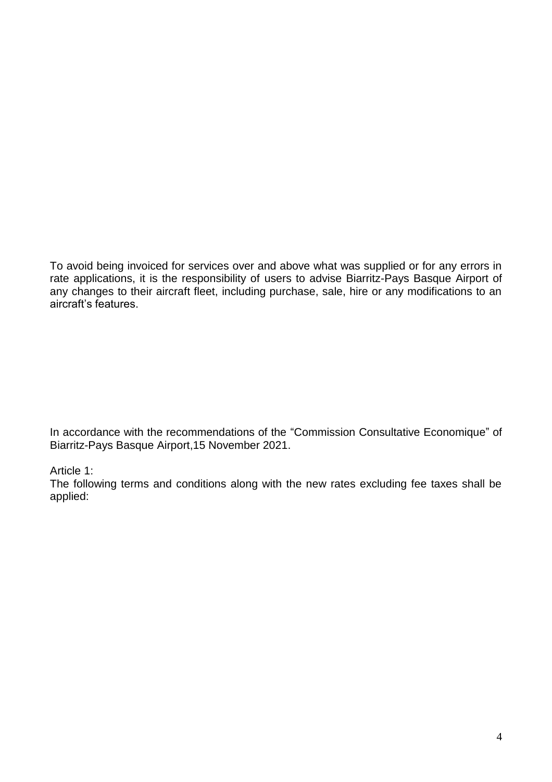To avoid being invoiced for services over and above what was supplied or for any errors in rate applications, it is the responsibility of users to advise Biarritz-Pays Basque Airport of any changes to their aircraft fleet, including purchase, sale, hire or any modifications to an aircraft's features.

In accordance with the recommendations of the "Commission Consultative Economique" of Biarritz-Pays Basque Airport,15 November 2021.

# Article 1:

The following terms and conditions along with the new rates excluding fee taxes shall be applied: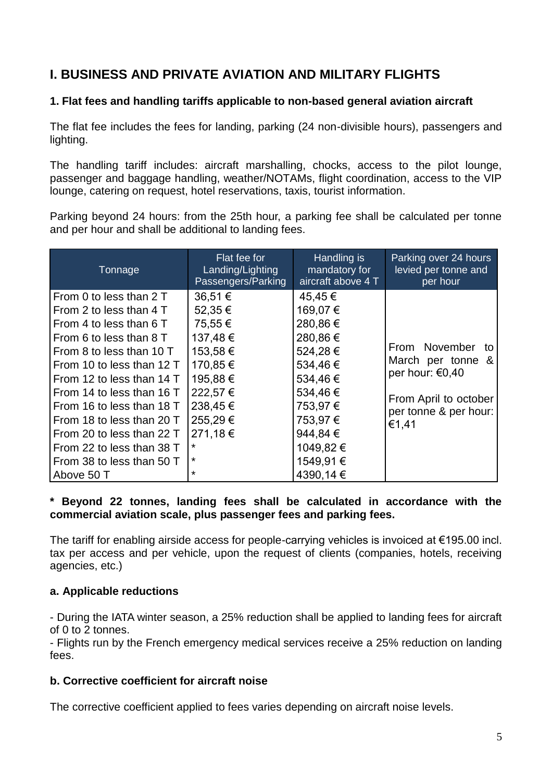# **I. BUSINESS AND PRIVATE AVIATION AND MILITARY FLIGHTS**

# **1. Flat fees and handling tariffs applicable to non-based general aviation aircraft**

The flat fee includes the fees for landing, parking (24 non-divisible hours), passengers and lighting.

The handling tariff includes: aircraft marshalling, chocks, access to the pilot lounge, passenger and baggage handling, weather/NOTAMs, flight coordination, access to the VIP lounge, catering on request, hotel reservations, taxis, tourist information.

Parking beyond 24 hours: from the 25th hour, a parking fee shall be calculated per tonne and per hour and shall be additional to landing fees.

| Tonnage                   | Flat fee for<br>Landing/Lighting<br>Passengers/Parking | Handling is<br>mandatory for<br>aircraft above 4 T | Parking over 24 hours<br>levied per tonne and<br>per hour |
|---------------------------|--------------------------------------------------------|----------------------------------------------------|-----------------------------------------------------------|
| From 0 to less than 2 T   | 36,51 €                                                | 45,45€                                             |                                                           |
| From 2 to less than 4 T   | 52,35 €                                                | 169,07€                                            |                                                           |
| From 4 to less than 6 T   | 75,55€                                                 | 280,86€                                            |                                                           |
| From 6 to less than 8 T   | 137,48€                                                | 280,86€                                            |                                                           |
| From 8 to less than 10 T  | 153,58€                                                | 524,28€                                            | From November<br>to                                       |
| From 10 to less than 12 T | 170,85 €                                               | 534,46€                                            | March per tonne &                                         |
| From 12 to less than 14 T | 195,88€                                                | 534,46€                                            | per hour: €0,40                                           |
| From 14 to less than 16 T | 222,57€                                                | 534,46€                                            | From April to october                                     |
| From 16 to less than 18 T | 238,45€                                                | 753,97€                                            | per tonne & per hour:                                     |
| From 18 to less than 20 T | 255,29€                                                | 753,97€                                            | €1,41                                                     |
| From 20 to less than 22 T | 271,18€                                                | 944,84€                                            |                                                           |
| From 22 to less than 38 T | *                                                      | 1049,82€                                           |                                                           |
| From 38 to less than 50 T | *                                                      | 1549,91€                                           |                                                           |
| Above 50 T                | $\star$                                                | 4390,14 €                                          |                                                           |

#### **\* Beyond 22 tonnes, landing fees shall be calculated in accordance with the commercial aviation scale, plus passenger fees and parking fees.**

The tariff for enabling airside access for people-carrying vehicles is invoiced at  $€195.00$  incl. tax per access and per vehicle, upon the request of clients (companies, hotels, receiving agencies, etc.)

#### **a. Applicable reductions**

- During the IATA winter season, a 25% reduction shall be applied to landing fees for aircraft of 0 to 2 tonnes.

- Flights run by the French emergency medical services receive a 25% reduction on landing fees.

#### **b. Corrective coefficient for aircraft noise**

The corrective coefficient applied to fees varies depending on aircraft noise levels.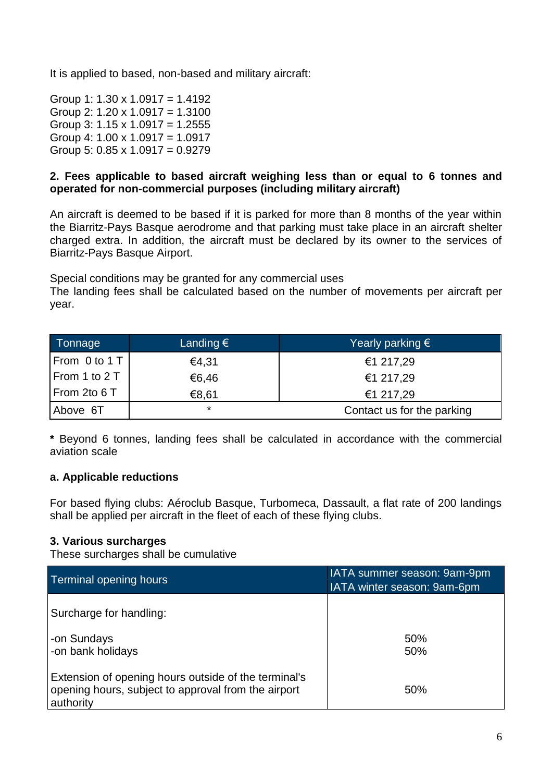It is applied to based, non-based and military aircraft:

Group 1:  $1.30 \times 1.0917 = 1.4192$ Group 2:  $1.20 \times 1.0917 = 1.3100$ Group 3:  $1.15 \times 1.0917 = 1.2555$ Group 4: 1.00 x 1.0917 = 1.0917 Group 5:  $0.85 \times 1.0917 = 0.9279$ 

# **2. Fees applicable to based aircraft weighing less than or equal to 6 tonnes and operated for non-commercial purposes (including military aircraft)**

An aircraft is deemed to be based if it is parked for more than 8 months of the year within the Biarritz-Pays Basque aerodrome and that parking must take place in an aircraft shelter charged extra. In addition, the aircraft must be declared by its owner to the services of Biarritz-Pays Basque Airport.

Special conditions may be granted for any commercial uses The landing fees shall be calculated based on the number of movements per aircraft per year.

| Tonnage       | Landing $\epsilon$ | Yearly parking $\epsilon$  |
|---------------|--------------------|----------------------------|
| From 0 to 1 T | €4,31              | €1 217,29                  |
| From 1 to 2 T | €6,46              | €1 217,29                  |
| From 2to 6 T  | €8,61              | €1 217,29                  |
| Above 6T      | $\star$            | Contact us for the parking |

**\*** Beyond 6 tonnes, landing fees shall be calculated in accordance with the commercial aviation scale

# **a. Applicable reductions**

For based flying clubs: Aéroclub Basque, Turbomeca, Dassault, a flat rate of 200 landings shall be applied per aircraft in the fleet of each of these flying clubs.

# **3. Various surcharges**

These surcharges shall be cumulative

| <b>Terminal opening hours</b>                                                                                            | IATA summer season: 9am-9pm<br>IATA winter season: 9am-6pm |
|--------------------------------------------------------------------------------------------------------------------------|------------------------------------------------------------|
| Surcharge for handling:                                                                                                  |                                                            |
| -on Sundays<br>-on bank holidays                                                                                         | 50%<br>50%                                                 |
| Extension of opening hours outside of the terminal's<br>opening hours, subject to approval from the airport<br>authority | 50%                                                        |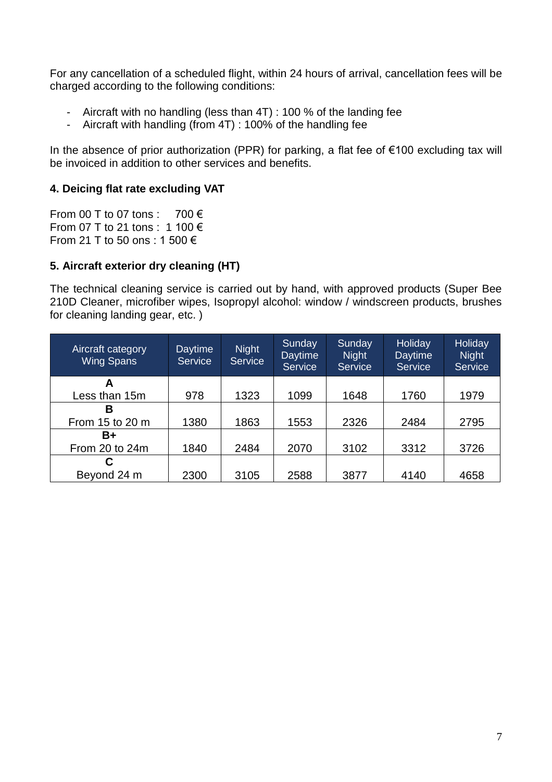For any cancellation of a scheduled flight, within 24 hours of arrival, cancellation fees will be charged according to the following conditions:

- Aircraft with no handling (less than 4T) : 100 % of the landing fee
- Aircraft with handling (from 4T) : 100% of the handling fee

In the absence of prior authorization (PPR) for parking, a flat fee of €100 excluding tax will be invoiced in addition to other services and benefits.

## **4. Deicing flat rate excluding VAT**

From 00 T to 07 tons : 700  $\epsilon$ From 07 T to 21 tons : 1 100 € From 21 T to 50 ons : 1 500 €

## **5. Aircraft exterior dry cleaning (HT)**

The technical cleaning service is carried out by hand, with approved products (Super Bee 210D Cleaner, microfiber wipes, Isopropyl alcohol: window / windscreen products, brushes for cleaning landing gear, etc. )

| Aircraft category<br><b>Wing Spans</b> | <b>Daytime</b><br><b>Service</b> | <b>Night</b><br><b>Service</b> | Sunday<br><b>Daytime</b><br>Service | Sunday<br><b>Night</b><br>Service | <b>Holiday</b><br><b>Daytime</b><br>Service | <b>Holiday</b><br><b>Night</b><br>Service |
|----------------------------------------|----------------------------------|--------------------------------|-------------------------------------|-----------------------------------|---------------------------------------------|-------------------------------------------|
| A                                      |                                  |                                |                                     |                                   |                                             |                                           |
| Less than 15m                          | 978                              | 1323                           | 1099                                | 1648                              | 1760                                        | 1979                                      |
| в                                      |                                  |                                |                                     |                                   |                                             |                                           |
| From 15 to 20 m                        | 1380                             | 1863                           | 1553                                | 2326                              | 2484                                        | 2795                                      |
| B+                                     |                                  |                                |                                     |                                   |                                             |                                           |
| From 20 to 24m                         | 1840                             | 2484                           | 2070                                | 3102                              | 3312                                        | 3726                                      |
|                                        |                                  |                                |                                     |                                   |                                             |                                           |
| Beyond 24 m                            | 2300                             | 3105                           | 2588                                | 3877                              | 4140                                        | 4658                                      |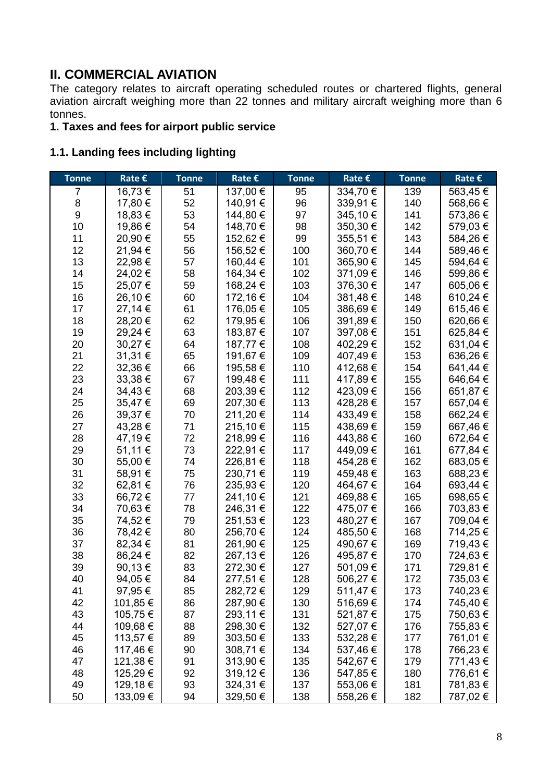# **II. COMMERCIAL AVIATION**

The category relates to aircraft operating scheduled routes or chartered flights, general aviation aircraft weighing more than 22 tonnes and military aircraft weighing more than 6 tonnes.

# **1. Taxes and fees for airport public service**

# **1.1. Landing fees including lighting**

| <b>Tonne</b>     | Rate $\epsilon$ | <b>Tonne</b> | Rate $\epsilon$ | <b>Tonne</b> | Rate $\epsilon$ | <b>Tonne</b> | Rate $\epsilon$ |
|------------------|-----------------|--------------|-----------------|--------------|-----------------|--------------|-----------------|
| 7                | 16,73€          | 51           | 137,00 €        | 95           | 334,70 €        | 139          | 563,45€         |
| 8                | 17,80 €         | 52           | 140,91 €        | 96           | 339,91 €        | 140          | 568,66€         |
| $\boldsymbol{9}$ | 18,83€          | 53           | 144,80 €        | 97           | 345,10€         | 141          | 573,86€         |
| 10               | 19,86€          | 54           | 148,70 €        | 98           | 350,30 €        | 142          | 579,03€         |
| 11               | 20,90€          | 55           | 152,62€         | 99           | 355,51€         | 143          | 584,26€         |
| 12               | 21,94 €         | 56           | 156,52€         | 100          | 360,70€         | 144          | 589,46€         |
| 13               | 22,98€          | 57           | 160,44 €        | 101          | 365,90€         | 145          | 594,64 €        |
| 14               | 24,02€          | 58           | 164,34 €        | 102          | 371,09€         | 146          | 599,86€         |
| 15               | 25,07€          | 59           | 168,24 €        | 103          | 376,30€         | 147          | 605,06€         |
| 16               | 26,10€          | 60           | 172,16 €        | 104          | 381,48€         | 148          | 610,24 €        |
| 17               | 27,14 €         | 61           | 176,05€         | 105          | 386,69€         | 149          | 615,46€         |
| 18               | 28,20€          | 62           | 179,95€         | 106          | 391,89€         | 150          | 620,66€         |
| 19               | 29,24 €         | 63           | 183,87 €        | 107          | 397,08€         | 151          | 625,84 €        |
| 20               | 30,27€          | 64           | 187,77 €        | 108          | 402,29€         | 152          | 631,04€         |
| 21               | 31,31 €         | 65           | 191,67 €        | 109          | 407,49€         | 153          | 636,26€         |
| 22               | 32,36€          | 66           | 195,58€         | 110          | 412,68 €        | 154          | 641,44 €        |
| 23               | 33,38€          | 67           | 199,48€         | 111          | 417,89€         | 155          | 646,64€         |
| 24               | 34,43€          | 68           | 203,39€         | 112          | 423,09€         | 156          | 651,87€         |
| 25               | 35,47€          | 69           | 207,30 €        | 113          | 428,28€         | 157          | 657,04 €        |
| 26               | 39,37€          | 70           | 211,20€         | 114          | 433,49€         | 158          | 662,24 €        |
| 27               | 43,28€          | 71           | 215,10€         | 115          | 438,69€         | 159          | 667,46€         |
| 28               | 47,19€          | 72           | 218,99€         | 116          | 443,88€         | 160          | 672,64 €        |
| 29               | 51,11€          | 73           | 222,91€         | 117          | 449,09€         | 161          | 677,84 €        |
| 30               | 55,00 €         | 74           | 226,81€         | 118          | 454,28€         | 162          | 683,05€         |
| 31               | 58,91 €         | 75           | 230,71€         | 119          | 459,48€         | 163          | 688,23€         |
| 32               | 62,81€          | 76           | 235,93€         | 120          | 464,67€         | 164          | 693,44 €        |
| 33               | 66,72€          | 77           | 241,10 €        | 121          | 469,88€         | 165          | 698,65€         |
| 34               | 70,63€          | 78           | 246,31€         | 122          | 475,07€         | 166          | 703,83€         |
| 35               | 74,52€          | 79           | 251,53€         | 123          | 480,27€         | 167          | 709,04 €        |
| 36               | 78,42€          | 80           | 256,70€         | 124          | 485,50€         | 168          | 714,25€         |
| 37               | 82,34 €         | 81           | 261,90 €        | 125          | 490,67€         | 169          | 719,43€         |
| 38               | 86,24 €         | 82           | 267,13€         | 126          | 495,87€         | 170          | 724,63€         |
| 39               | 90,13€          | 83           | 272,30 €        | 127          | 501,09€         | 171          | 729,81 €        |
| 40               | 94,05€          | 84           | 277,51 €        | 128          | 506,27€         | 172          | 735,03 €        |
| 41               | 97,95€          | 85           | 282,72 €        | 129          | 511,47 €        | 173          | 740,23 €        |
| 42               | 101,85 €        | 86           | 287,90 €        | 130          | 516,69€         | 174          | 745,40 €        |
| 43               | 105,75€         | 87           | 293,11 €        | 131          | 521,87 €        | 175          | 750,63€         |
| 44               | 109,68€         | 88           | 298,30 €        | 132          | 527,07€         | 176          | 755,83€         |
| 45               | 113,57 €        | 89           | 303,50 €        | 133          | 532,28€         | 177          | 761,01 €        |
| 46               | 117,46 €        | 90           | 308,71€         | 134          | 537,46€         | 178          | 766,23€         |
| 47               | 121,38 €        | 91           | 313,90 €        | 135          | 542,67 €        | 179          | 771,43€         |
| 48               | 125,29€         | 92           | 319,12€         | 136          | 547,85 €        | 180          | 776,61 €        |
| 49               | 129,18€         | 93           | 324,31 €        | 137          | 553,06 €        | 181          | 781,83 €        |
| 50               | 133,09€         | 94           | 329,50€         | 138          | 558,26€         | 182          | 787,02€         |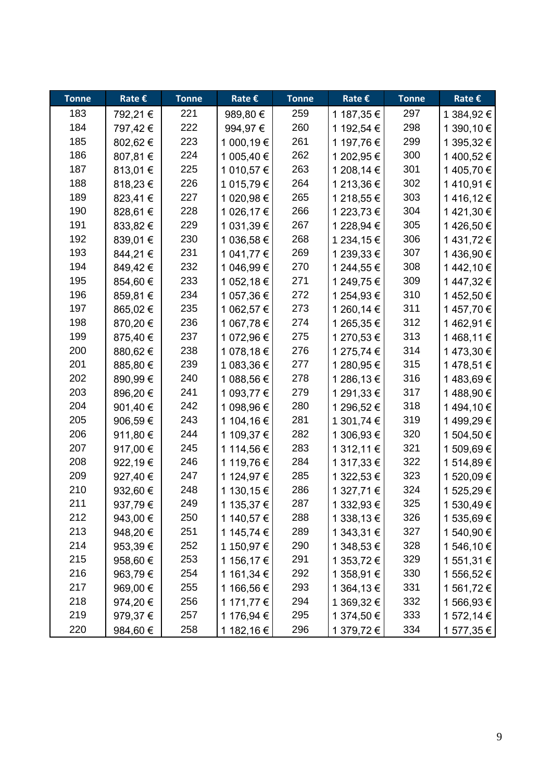| <b>Tonne</b> | Rate $\epsilon$ | <b>Tonne</b> | Rate $\epsilon$ | <b>Tonne</b> | Rate $\epsilon$ | <b>Tonne</b> | Rate €     |
|--------------|-----------------|--------------|-----------------|--------------|-----------------|--------------|------------|
| 183          | 792,21 €        | 221          | 989,80 €        | 259          | 1 187,35 €      | 297          | 1 384,92 € |
| 184          | 797,42€         | 222          | 994,97€         | 260          | 1 192,54 €      | 298          | 1 390,10 € |
| 185          | 802,62€         | 223          | 1 000,19 €      | 261          | 1 197,76 €      | 299          | 1 395,32 € |
| 186          | 807,81 €        | 224          | 1 005,40 €      | 262          | 1 202,95 €      | 300          | 1400,52€   |
| 187          | 813,01 €        | 225          | 1 010,57 €      | 263          | 1 208,14 €      | 301          | 1405,70€   |
| 188          | 818,23€         | 226          | 1 015,79€       | 264          | 1 213,36 €      | 302          | 1410,91€   |
| 189          | 823,41€         | 227          | 1 020,98 €      | 265          | 1 218,55 €      | 303          | 1416,12€   |
| 190          | 828,61 €        | 228          | 1 026,17 €      | 266          | 1 223,73 €      | 304          | 1421,30€   |
| 191          | 833,82€         | 229          | 1 031,39 €      | 267          | 1 228,94 €      | 305          | 1426,50€   |
| 192          | 839,01€         | 230          | 1 036,58 €      | 268          | 1 234,15 €      | 306          | 1 431,72 € |
| 193          | 844,21€         | 231          | 1 041,77 €      | 269          | 1 239,33 €      | 307          | 1436,90€   |
| 194          | 849,42€         | 232          | 1 046,99 €      | 270          | 1 244,55 €      | 308          | 1442,10€   |
| 195          | 854,60€         | 233          | 1 052,18 €      | 271          | 1 249,75 €      | 309          | 1447,32€   |
| 196          | 859,81€         | 234          | 1 057,36 €      | 272          | 1 254,93 €      | 310          | 1452,50€   |
| 197          | 865,02€         | 235          | 1 062,57 €      | 273          | 1 260,14 €      | 311          | 1457,70€   |
| 198          | 870,20€         | 236          | 1 067,78 €      | 274          | 1 265,35 €      | 312          | 1462,91€   |
| 199          | 875,40€         | 237          | 1 072,96 €      | 275          | 1 270,53 €      | 313          | 1468,11€   |
| 200          | 880,62€         | 238          | 1 078,18 €      | 276          | 1 275,74 €      | 314          | 1473,30€   |
| 201          | 885,80€         | 239          | 1 083,36 €      | 277          | 1 280,95 €      | 315          | 1478,51€   |
| 202          | 890,99€         | 240          | 1 088,56 €      | 278          | 1 286,13 €      | 316          | 1483,69€   |
| 203          | 896,20€         | 241          | 1 093,77 €      | 279          | 1 291,33 €      | 317          | 1488,90€   |
| 204          | 901,40 €        | 242          | 1 098,96 €      | 280          | 1 296,52 €      | 318          | 1494,10€   |
| 205          | 906,59€         | 243          | 1 104,16 €      | 281          | 1 301,74 €      | 319          | 1499,29€   |
| 206          | 911,80 €        | 244          | 1 109,37 €      | 282          | 1 306,93 €      | 320          | 1 504,50 € |
| 207          | 917,00 €        | 245          | 1 114,56 €      | 283          | 1 312,11 €      | 321          | 1 509,69 € |
| 208          | 922,19€         | 246          | 1 119,76 €      | 284          | 1 317,33 €      | 322          | 1 514,89 € |
| 209          | 927,40 €        | 247          | 1 124,97 €      | 285          | 1 322,53 €      | 323          | 1 520,09 € |
| 210          | 932,60 €        | 248          | 1 130,15 €      | 286          | 1 327,71 €      | 324          | 1 525,29 € |
| 211          | 937,79€         | 249          | 1 135,37 €      | 287          | 1 332,93 €      | 325          | 1 530,49 € |
| 212          | 943,00 €        | 250          | 1 140,57 €      | 288          | 1 338,13 €      | 326          | 1 535,69€  |
| 213          | 948,20€         | 251          | 1 145,74 €      | 289          | 1 343,31 €      | 327          | 1 540,90 € |
| 214          | 953,39€         | 252          | 1 150,97 €      | 290          | 1 348,53 €      | 328          | 1 546,10 € |
| 215          | 958,60€         | 253          | 1 156,17 €      | 291          | 1 353,72 €      | 329          | 1 551,31 € |
| 216          | 963,79€         | 254          | 1 161,34 €      | 292          | 1 358,91 €      | 330          | 1 556,52 € |
| 217          | 969,00€         | 255          | 1 166,56 €      | 293          | 1 364,13 €      | 331          | 1 561,72 € |
| 218          | 974,20€         | 256          | 1 171,77 €      | 294          | 1 369,32 €      | 332          | 1 566,93 € |
| 219          | 979,37€         | 257          | 1 176,94 €      | 295          | 1 374,50 €      | 333          | 1 572,14 € |
| 220          | 984,60€         | 258          | 1 182,16 €      | 296          | 1 379,72 €      | 334          | 1 577,35 € |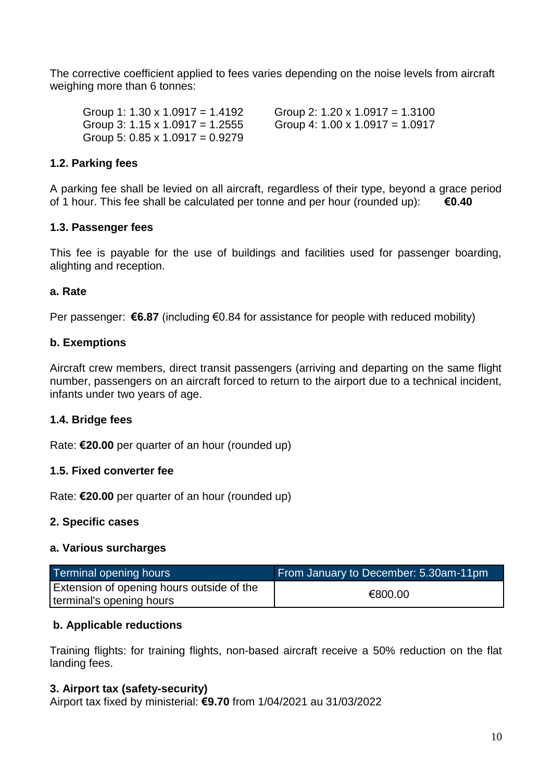The corrective coefficient applied to fees varies depending on the noise levels from aircraft weighing more than 6 tonnes:

Group 1: 1.30 x 1.0917 = 1.4192 Group 2: 1.20 x 1.0917 = 1.3100 Group 3: 1.15 x 1.0917 = 1.2555 Group 4: 1.00 x 1.0917 = 1.0917 Group 5:  $0.85 \times 1.0917 = 0.9279$ 

## **1.2. Parking fees**

A parking fee shall be levied on all aircraft, regardless of their type, beyond a grace period of 1 hour. This fee shall be calculated per tonne and per hour (rounded up): **€0.40**

#### **1.3. Passenger fees**

This fee is payable for the use of buildings and facilities used for passenger boarding, alighting and reception.

#### **a. Rate**

Per passenger: **€6.87** (including €0.84 for assistance for people with reduced mobility)

## **b. Exemptions**

Aircraft crew members, direct transit passengers (arriving and departing on the same flight number, passengers on an aircraft forced to return to the airport due to a technical incident, infants under two years of age.

# **1.4. Bridge fees**

Rate: **€20.00** per quarter of an hour (rounded up)

#### **1.5. Fixed converter fee**

Rate: **€20.00** per quarter of an hour (rounded up)

#### **2. Specific cases**

#### **a. Various surcharges**

| Terminal opening hours                                                       | From January to December: 5.30am-11pm |
|------------------------------------------------------------------------------|---------------------------------------|
| <b>Extension of opening hours outside of the</b><br>terminal's opening hours | €800.00                               |

#### **b. Applicable reductions**

Training flights: for training flights, non-based aircraft receive a 50% reduction on the flat landing fees.

#### **3. Airport tax (safety-security)**

Airport tax fixed by ministerial: **€9.70** from 1/04/2021 au 31/03/2022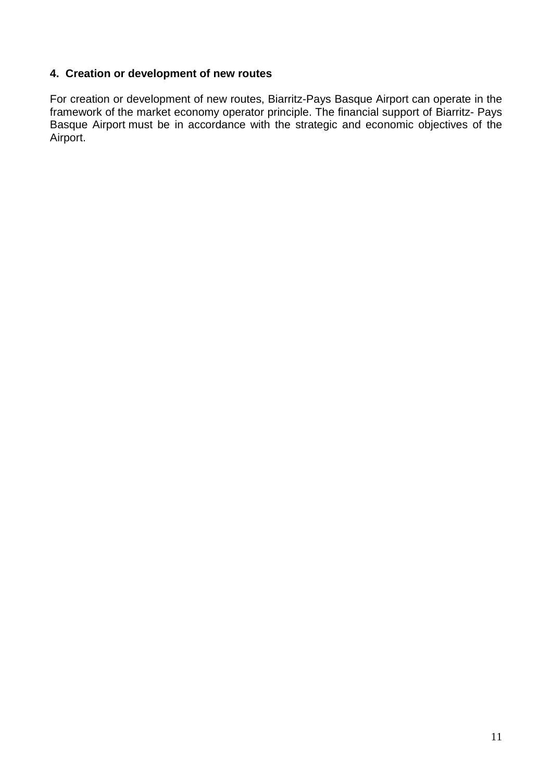# **4. Creation or development of new routes**

For creation or development of new routes, Biarritz-Pays Basque Airport can operate in the framework of the market economy operator principle. The financial support of Biarritz- Pays Basque Airport must be in accordance with the strategic and economic objectives of the Airport.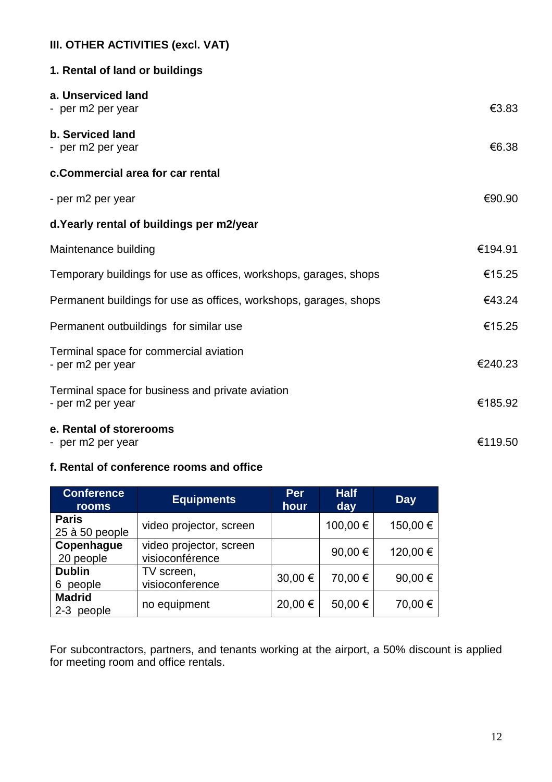# **III. OTHER ACTIVITIES (excl. VAT)**

| 1. Rental of land or buildings                                        |         |
|-----------------------------------------------------------------------|---------|
| a. Unserviced land<br>- per m2 per year                               | €3.83   |
| b. Serviced land<br>- per m2 per year                                 | €6.38   |
| c.Commercial area for car rental                                      |         |
| - per m2 per year                                                     | €90.90  |
| d. Yearly rental of buildings per m2/year                             |         |
| Maintenance building                                                  | €194.91 |
| Temporary buildings for use as offices, workshops, garages, shops     | €15.25  |
| Permanent buildings for use as offices, workshops, garages, shops     | €43.24  |
| Permanent outbuildings for similar use                                | €15.25  |
| Terminal space for commercial aviation<br>- per m2 per year           | €240.23 |
| Terminal space for business and private aviation<br>- per m2 per year | €185.92 |
| e. Rental of storerooms<br>- per m2 per year                          | €119.50 |

# **f. Rental of conference rooms and office**

| <b>Conference</b><br><b>rooms</b>  | <b>Equipments</b>                          | <b>Per</b><br>hour | <b>Half</b><br>day | <b>Day</b> |
|------------------------------------|--------------------------------------------|--------------------|--------------------|------------|
| <b>Paris</b><br>25 à 50 people     | video projector, screen                    |                    | 100,00€            | 150,00€    |
| Copenhague<br>20 people            | video projector, screen<br>visioconférence |                    | 90,00€             | 120,00€    |
| <b>Dublin</b><br>people<br>6       | TV screen,<br>visioconference              | 30,00 €            | 70,00 €            | 90,00€     |
| <b>Madrid</b><br>people<br>$2 - 3$ | no equipment                               | 20,00 €            | 50,00€             | 70,00 €    |

For subcontractors, partners, and tenants working at the airport, a 50% discount is applied for meeting room and office rentals.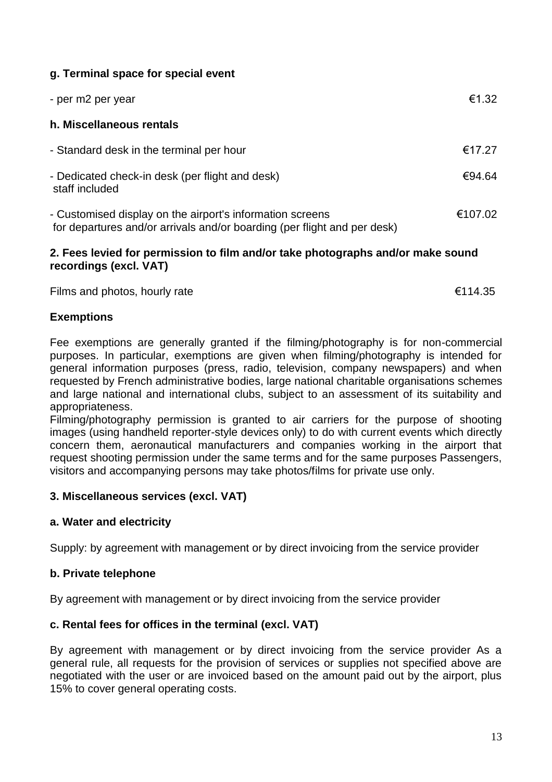# **g. Terminal space for special event**

| - per m2 per year                                                                                                                     | €1.32   |
|---------------------------------------------------------------------------------------------------------------------------------------|---------|
| h. Miscellaneous rentals                                                                                                              |         |
| - Standard desk in the terminal per hour                                                                                              | €17.27  |
| - Dedicated check-in desk (per flight and desk)<br>staff included                                                                     | €94.64  |
| - Customised display on the airport's information screens<br>for departures and/or arrivals and/or boarding (per flight and per desk) | €107.02 |

#### **2. Fees levied for permission to film and/or take photographs and/or make sound recordings (excl. VAT)**

Films and photos, hourly rate  $\epsilon$ 114.35

#### **Exemptions**

Fee exemptions are generally granted if the filming/photography is for non-commercial purposes. In particular, exemptions are given when filming/photography is intended for general information purposes (press, radio, television, company newspapers) and when requested by French administrative bodies, large national charitable organisations schemes and large national and international clubs, subject to an assessment of its suitability and appropriateness.

Filming/photography permission is granted to air carriers for the purpose of shooting images (using handheld reporter-style devices only) to do with current events which directly concern them, aeronautical manufacturers and companies working in the airport that request shooting permission under the same terms and for the same purposes Passengers, visitors and accompanying persons may take photos/films for private use only.

#### **3. Miscellaneous services (excl. VAT)**

#### **a. Water and electricity**

Supply: by agreement with management or by direct invoicing from the service provider

#### **b. Private telephone**

By agreement with management or by direct invoicing from the service provider

#### **c. Rental fees for offices in the terminal (excl. VAT)**

By agreement with management or by direct invoicing from the service provider As a general rule, all requests for the provision of services or supplies not specified above are negotiated with the user or are invoiced based on the amount paid out by the airport, plus 15% to cover general operating costs.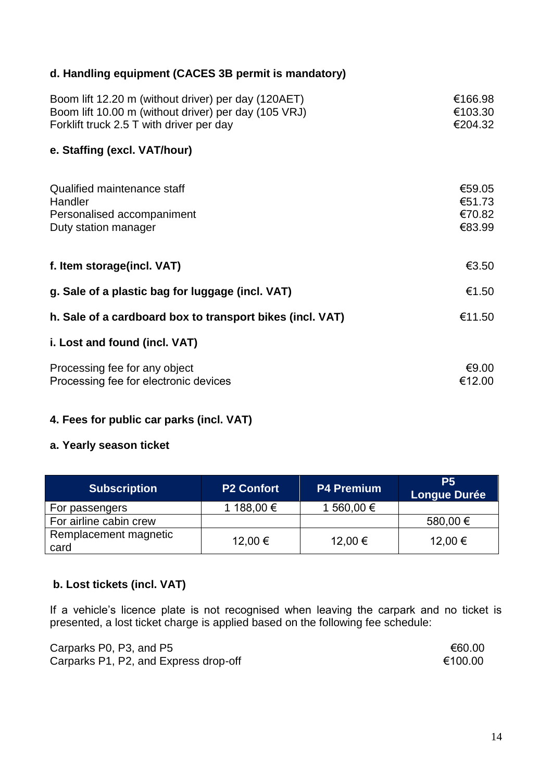# **d. Handling equipment (CACES 3B permit is mandatory)**

| Boom lift 12.20 m (without driver) per day (120AET)<br>Boom lift 10.00 m (without driver) per day (105 VRJ)<br>Forklift truck 2.5 T with driver per day | €166.98<br>€103.30<br>€204.32        |
|---------------------------------------------------------------------------------------------------------------------------------------------------------|--------------------------------------|
| e. Staffing (excl. VAT/hour)                                                                                                                            |                                      |
| Qualified maintenance staff<br>Handler<br>Personalised accompaniment<br>Duty station manager                                                            | €59.05<br>€51.73<br>€70.82<br>€83.99 |
| f. Item storage(incl. VAT)                                                                                                                              | €3.50                                |
| g. Sale of a plastic bag for luggage (incl. VAT)                                                                                                        | €1.50                                |
| h. Sale of a cardboard box to transport bikes (incl. VAT)                                                                                               | €11.50                               |
| i. Lost and found (incl. VAT)                                                                                                                           |                                      |
| Processing fee for any object<br>Processing fee for electronic devices                                                                                  | € $9.00$<br>€12.00                   |

# **4. Fees for public car parks (incl. VAT)**

# **a. Yearly season ticket**

| <b>Subscription</b>           | <b>P2 Confort</b> | <b>P4 Premium</b> | <b>P5</b><br><b>Longue Durée</b> |
|-------------------------------|-------------------|-------------------|----------------------------------|
| For passengers                | 1 188,00 €        | 1 560,00 €        |                                  |
| For airline cabin crew        |                   |                   | 580,00 €                         |
| Remplacement magnetic<br>card | 12,00 €           | 12,00 €           | 12,00 €                          |

# **b. Lost tickets (incl. VAT)**

If a vehicle's licence plate is not recognised when leaving the carpark and no ticket is presented, a lost ticket charge is applied based on the following fee schedule:

| Carparks P0, P3, and P5               | €60.00  |
|---------------------------------------|---------|
| Carparks P1, P2, and Express drop-off | €100.00 |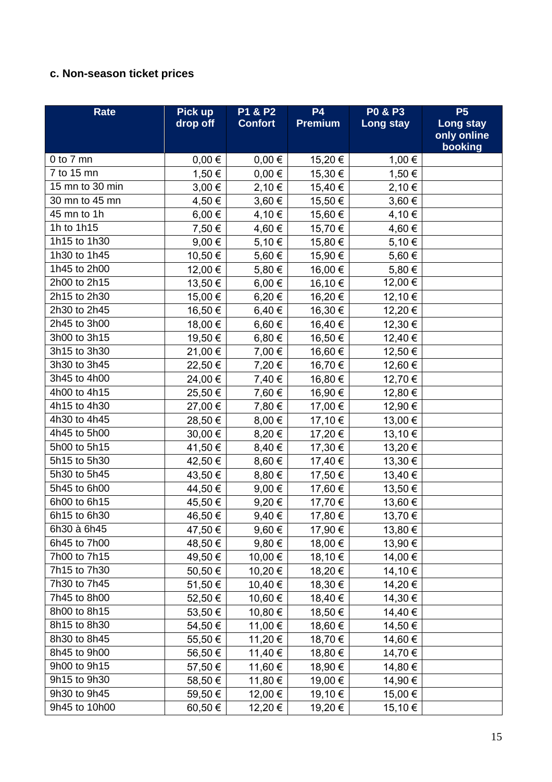# **c. Non-season ticket prices**

| <b>Rate</b>     | Pick up    | P1 & P2        | <b>P4</b>      | <b>PO &amp; P3</b> | P <sub>5</sub>         |
|-----------------|------------|----------------|----------------|--------------------|------------------------|
|                 | drop off   | <b>Confort</b> | <b>Premium</b> | Long stay          | Long stay              |
|                 |            |                |                |                    | only online<br>booking |
| $0$ to $7$ mn   | $0,00 \in$ | $0,00 \in$     | 15,20€         | 1,00 €             |                        |
| 7 to 15 mn      | 1,50 €     | $0,00 \in$     | 15,30€         | 1,50 €             |                        |
| 15 mn to 30 min | $3,00 \in$ | 2,10€          | 15,40 €        | 2,10 €             |                        |
| 30 mn to 45 mn  | 4,50 €     | $3,60 \in$     | 15,50€         | 3,60 €             |                        |
| 45 mn to 1h     | $6,00 \in$ | 4,10€          | 15,60 €        | 4,10€              |                        |
| 1h to 1h15      | 7,50 €     | 4,60 €         | 15,70 €        | 4,60 €             |                        |
| 1h15 to 1h30    | $9,00 \in$ | 5,10 €         | 15,80 €        | 5,10€              |                        |
| 1h30 to 1h45    | 10,50 €    | 5,60€          | 15,90 €        | 5,60 €             |                        |
| 1h45 to 2h00    | 12,00 €    | 5,80€          | 16,00 €        | 5,80€              |                        |
| 2h00 to 2h15    | 13,50 €    | $6,00 \in$     | 16,10€         | 12,00 €            |                        |
| 2h15 to 2h30    | 15,00 €    | 6,20€          | 16,20€         | 12,10€             |                        |
| 2h30 to 2h45    | 16,50 €    | $6,40 \in$     | 16,30 €        | 12,20€             |                        |
| 2h45 to 3h00    | 18,00 €    | $6,60 \in$     | 16,40€         | 12,30 €            |                        |
| 3h00 to 3h15    | 19,50 €    | $6,80 \in$     | 16,50 €        | 12,40 €            |                        |
| 3h15 to 3h30    | 21,00 €    | 7,00 €         | 16,60 €        | 12,50 €            |                        |
| 3h30 to 3h45    | 22,50 €    | 7,20 €         | 16,70 €        | 12,60 €            |                        |
| 3h45 to 4h00    | 24,00 €    | 7,40 €         | 16,80€         | 12,70 €            |                        |
| 4h00 to 4h15    | 25,50€     | 7,60 €         | 16,90 €        | 12,80 €            |                        |
| 4h15 to 4h30    | 27,00 €    | 7,80 €         | 17,00 €        | 12,90 €            |                        |
| 4h30 to 4h45    | 28,50€     | $8,00 \in$     | 17,10 €        | 13,00 €            |                        |
| 4h45 to 5h00    | 30,00 €    | 8,20 €         | 17,20 €        | 13,10 €            |                        |
| 5h00 to 5h15    | 41,50€     | 8,40 €         | 17,30 €        | 13,20€             |                        |
| 5h15 to 5h30    | 42,50 €    | 8,60 €         | 17,40 €        | 13,30 €            |                        |
| 5h30 to 5h45    | 43,50€     | $8,80 \in$     | 17,50 €        | 13,40 €            |                        |
| 5h45 to 6h00    | 44,50 €    | $9,00 \in$     | 17,60 €        | 13,50€             |                        |
| 6h00 to 6h15    | 45,50€     | 9,20€          | 17,70€         | 13,60€             |                        |
| 6h15 to 6h30    | 46,50€     | 9,40€          | 17,80 €        | 13,70€             |                        |
| 6h30 à 6h45     | 47,50 €    | $9,60 \in$     | 17,90 €        | 13,80 €            |                        |
| 6h45 to 7h00    | 48,50 €    | 9,80€          | 18,00 €        | 13,90€             |                        |
| 7h00 to 7h15    | 49,50 €    | 10,00 €        | 18,10 €        | 14,00 €            |                        |
| 7h15 to 7h30    | 50,50 €    | 10,20 €        | 18,20 €        | 14,10 €            |                        |
| 7h30 to 7h45    | 51,50€     | 10,40 €        | 18,30 €        | 14,20 €            |                        |
| 7h45 to 8h00    | 52,50€     | 10,60 €        | 18,40 €        | 14,30 €            |                        |
| 8h00 to 8h15    | 53,50€     | 10,80 €        | 18,50€         | 14,40 €            |                        |
| 8h15 to 8h30    | 54,50€     | 11,00 €        | 18,60 €        | 14,50 €            |                        |
| 8h30 to 8h45    | 55,50€     | 11,20 €        | 18,70€         | 14,60€             |                        |
| 8h45 to 9h00    | 56,50 €    | 11,40 €        | 18,80€         | 14,70€             |                        |
| 9h00 to 9h15    | 57,50 €    | 11,60 €        | 18,90 €        | 14,80€             |                        |
| 9h15 to 9h30    | 58,50 €    | 11,80 €        | 19,00 €        | 14,90 €            |                        |
| 9h30 to 9h45    | 59,50 €    | 12,00 €        | 19,10 €        | 15,00 €            |                        |
| 9h45 to 10h00   | 60,50€     | 12,20 €        | 19,20€         | 15,10€             |                        |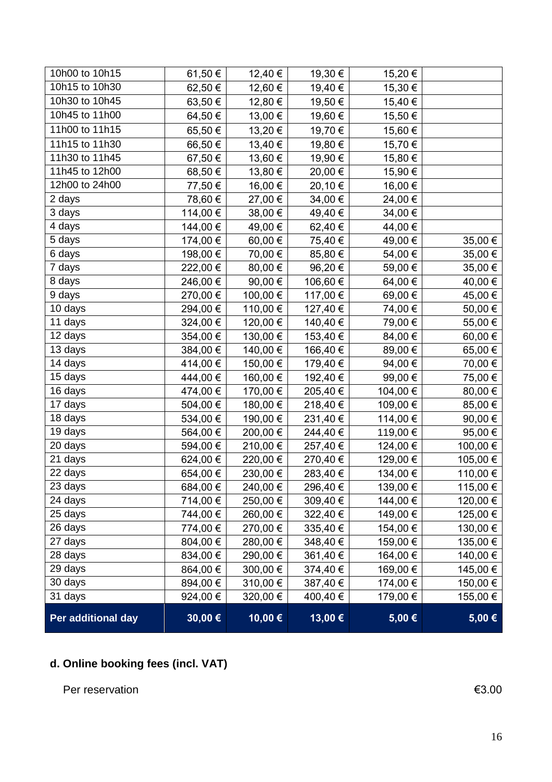| 10h00 to 10h15     | 61,50 €  | 12,40 €  | 19,30 €  | 15,20 €  |          |
|--------------------|----------|----------|----------|----------|----------|
| 10h15 to 10h30     | 62,50 €  | 12,60 €  | 19,40 €  | 15,30 €  |          |
| 10h30 to 10h45     | 63,50€   | 12,80 €  | 19,50 €  | 15,40€   |          |
| 10h45 to 11h00     | 64,50 €  | 13,00 €  | 19,60 €  | 15,50€   |          |
| 11h00 to 11h15     | 65,50€   | 13,20 €  | 19,70€   | 15,60€   |          |
| 11h15 to 11h30     | 66,50€   | 13,40 €  | 19,80€   | 15,70€   |          |
| 11h30 to 11h45     | 67,50€   | 13,60 €  | 19,90€   | 15,80€   |          |
| 11h45 to 12h00     | 68,50€   | 13,80 €  | 20,00 €  | 15,90 €  |          |
| 12h00 to 24h00     | 77,50 €  | 16,00 €  | 20,10 €  | 16,00 €  |          |
| 2 days             | 78,60 €  | 27,00 €  | 34,00 €  | 24,00 €  |          |
| 3 days             | 114,00 € | 38,00 €  | 49,40 €  | 34,00 €  |          |
| 4 days             | 144,00 € | 49,00 €  | 62,40 €  | 44,00 €  |          |
| 5 days             | 174,00 € | 60,00 €  | 75,40 €  | 49,00 €  | 35,00 €  |
| 6 days             | 198,00 € | 70,00 €  | 85,80 €  | 54,00 €  | 35,00 €  |
| 7 days             | 222,00 € | 80,00 €  | 96,20€   | 59,00 €  | 35,00 €  |
| 8 days             | 246,00 € | 90,00 €  | 106,60 € | 64,00€   | 40,00 €  |
| 9 days             | 270,00 € | 100,00 € | 117,00 € | 69,00€   | 45,00 €  |
| 10 days            | 294,00 € | 110,00 € | 127,40 € | 74,00 €  | 50,00 €  |
| 11 days            | 324,00 € | 120,00 € | 140,40 € | 79,00 €  | 55,00 €  |
| 12 days            | 354,00 € | 130,00 € | 153,40 € | 84,00 €  | 60,00 €  |
| 13 days            | 384,00 € | 140,00 € | 166,40 € | 89,00 €  | 65,00 €  |
| 14 days            | 414,00 € | 150,00 € | 179,40 € | 94,00€   | 70,00 €  |
| 15 days            | 444,00 € | 160,00 € | 192,40 € | 99,00€   | 75,00 €  |
| 16 days            | 474,00 € | 170,00 € | 205,40 € | 104,00 € | 80,00€   |
| 17 days            | 504,00 € | 180,00 € | 218,40 € | 109,00 € | 85,00 €  |
| 18 days            | 534,00 € | 190,00 € | 231,40 € | 114,00 € | 90,00 €  |
| 19 days            | 564,00 € | 200,00 € | 244,40 € | 119,00 € | 95,00 €  |
| 20 days            | 594,00 € | 210,00 € | 257,40 € | 124,00 € | 100,00 € |
| 21 days            | 624,00 € | 220,00 € | 270,40€  | 129,00 € | 105,00 € |
| 22 days            | 654,00 € | 230,00 € | 283,40 € | 134,00 € | 110,00 € |
| 23 days            | 684,00 € | 240,00 € | 296,40 € | 139,00 € | 115,00 € |
| 24 days            | 714,00 € | 250,00 € | 309,40 € | 144,00 € | 120,00 € |
| 25 days            | 744,00 € | 260,00 € | 322,40 € | 149,00 € | 125,00 € |
| 26 days            | 774,00 € | 270,00 € | 335,40 € | 154,00 € | 130,00 € |
| 27 days            | 804,00 € | 280,00 € | 348,40 € | 159,00 € | 135,00 € |
| 28 days            | 834,00 € | 290,00 € | 361,40 € | 164,00 € | 140,00 € |
| 29 days            | 864,00 € | 300,00 € | 374,40 € | 169,00 € | 145,00 € |
| 30 days            | 894,00 € | 310,00 € | 387,40 € | 174,00 € | 150,00 € |
| 31 days            | 924,00 € | 320,00 € | 400,40 € | 179,00 € | 155,00 € |
| Per additional day | 30,00€   | 10,00€   | 13,00€   | 5,00€    | 5,00 €   |

# **d. Online booking fees (incl. VAT)**

Per reservation  $63.00$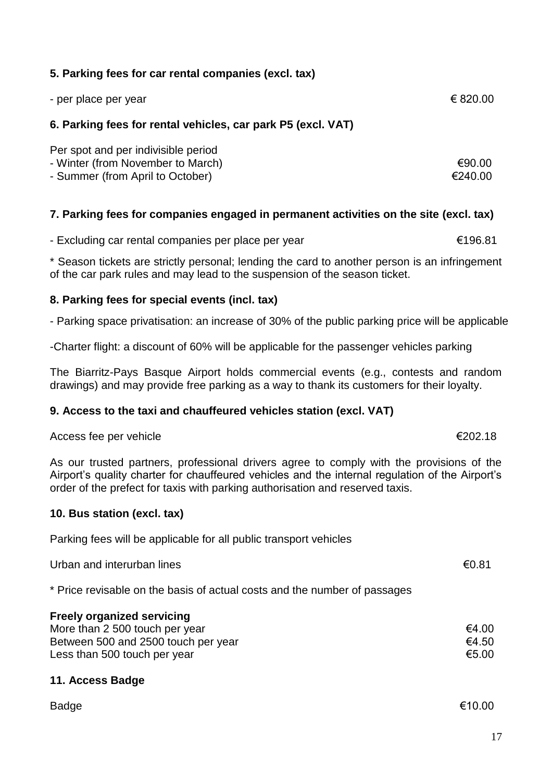|  |  |  |  |  |  |  |  | 5. Parking fees for car rental companies (excl. tax) |  |
|--|--|--|--|--|--|--|--|------------------------------------------------------|--|
|--|--|--|--|--|--|--|--|------------------------------------------------------|--|

| - per place per year | € 820.00 |
|----------------------|----------|
|                      |          |

#### **6. Parking fees for rental vehicles, car park P5 (excl. VAT)**

| Per spot and per indivisible period |         |
|-------------------------------------|---------|
| - Winter (from November to March)   | €90.00  |
| - Summer (from April to October)    | €240.00 |

# **7. Parking fees for companies engaged in permanent activities on the site (excl. tax)**

- Excluding car rental companies per place per year €196.81

\* Season tickets are strictly personal; lending the card to another person is an infringement of the car park rules and may lead to the suspension of the season ticket.

#### **8. Parking fees for special events (incl. tax)**

- Parking space privatisation: an increase of 30% of the public parking price will be applicable

-Charter flight: a discount of 60% will be applicable for the passenger vehicles parking

The Biarritz-Pays Basque Airport holds commercial events (e.g., contests and random drawings) and may provide free parking as a way to thank its customers for their loyalty.

# **9. Access to the taxi and chauffeured vehicles station (excl. VAT)**

#### Access fee per vehicle  $\epsilon$ 202.18

As our trusted partners, professional drivers agree to comply with the provisions of the Airport's quality charter for chauffeured vehicles and the internal regulation of the Airport's order of the prefect for taxis with parking authorisation and reserved taxis.

#### **10. Bus station (excl. tax)**

Parking fees will be applicable for all public transport vehicles

Urban and interurban lines  $\epsilon$ 0.81

\* Price revisable on the basis of actual costs and the number of passages

| <b>Freely organized servicing</b>   |       |
|-------------------------------------|-------|
| More than 2 500 touch per year      | €4.00 |
| Between 500 and 2500 touch per year | €4.50 |
| Less than 500 touch per year        | €5.00 |

# **11. Access Badge**

| г |
|---|
|---|

 $\mathsf{Badge} \hspace{1.5cm} \in 10.00$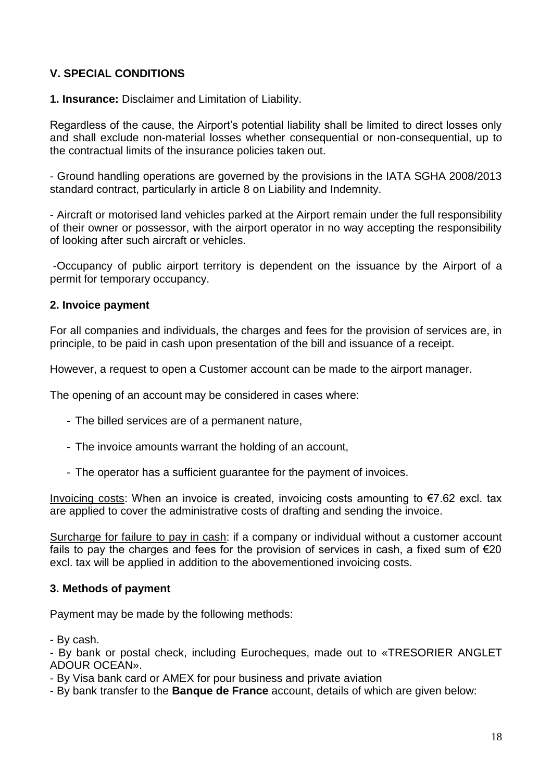# **V. SPECIAL CONDITIONS**

**1. Insurance:** Disclaimer and Limitation of Liability.

Regardless of the cause, the Airport's potential liability shall be limited to direct losses only and shall exclude non-material losses whether consequential or non-consequential, up to the contractual limits of the insurance policies taken out.

- Ground handling operations are governed by the provisions in the IATA SGHA 2008/2013 standard contract, particularly in article 8 on Liability and Indemnity.

- Aircraft or motorised land vehicles parked at the Airport remain under the full responsibility of their owner or possessor, with the airport operator in no way accepting the responsibility of looking after such aircraft or vehicles.

-Occupancy of public airport territory is dependent on the issuance by the Airport of a permit for temporary occupancy.

#### **2. Invoice payment**

For all companies and individuals, the charges and fees for the provision of services are, in principle, to be paid in cash upon presentation of the bill and issuance of a receipt.

However, a request to open a Customer account can be made to the airport manager.

The opening of an account may be considered in cases where:

- The billed services are of a permanent nature,
- The invoice amounts warrant the holding of an account,
- The operator has a sufficient guarantee for the payment of invoices.

Invoicing costs: When an invoice is created, invoicing costs amounting to €7.62 excl. tax are applied to cover the administrative costs of drafting and sending the invoice.

Surcharge for failure to pay in cash: if a company or individual without a customer account fails to pay the charges and fees for the provision of services in cash, a fixed sum of  $\epsilon$ 20 excl. tax will be applied in addition to the abovementioned invoicing costs.

#### **3. Methods of payment**

Payment may be made by the following methods:

- By cash.

- By bank or postal check, including Eurocheques, made out to «TRESORIER ANGLET ADOUR OCEAN».

- By Visa bank card or AMEX for pour business and private aviation

- By bank transfer to the **Banque de France** account, details of which are given below: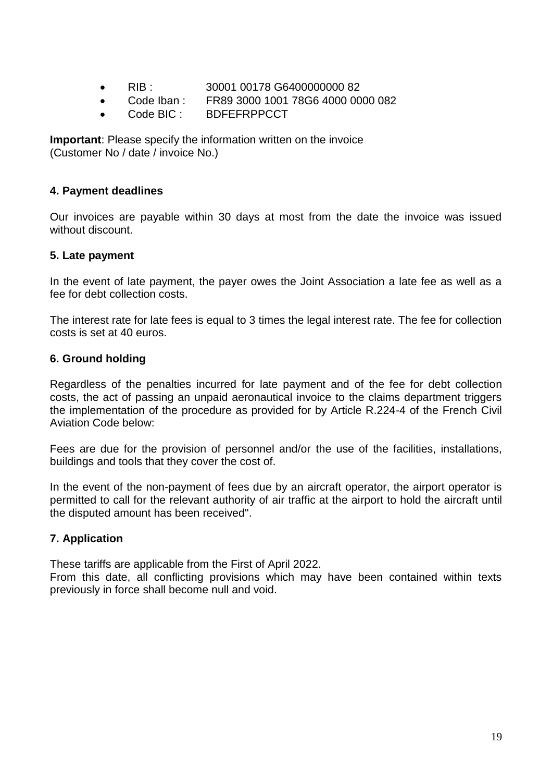- RIB : 30001 00178 G6400000000 82
- Code Iban : FR89 3000 1001 78G6 4000 0000 082
- Code BIC : BDFEFRPPCCT

**Important**: Please specify the information written on the invoice (Customer No / date / invoice No.)

#### **4. Payment deadlines**

Our invoices are payable within 30 days at most from the date the invoice was issued without discount.

#### **5. Late payment**

In the event of late payment, the payer owes the Joint Association a late fee as well as a fee for debt collection costs.

The interest rate for late fees is equal to 3 times the legal interest rate. The fee for collection costs is set at 40 euros.

## **6. Ground holding**

Regardless of the penalties incurred for late payment and of the fee for debt collection costs, the act of passing an unpaid aeronautical invoice to the claims department triggers the implementation of the procedure as provided for by Article R.224-4 of the French Civil Aviation Code below:

Fees are due for the provision of personnel and/or the use of the facilities, installations, buildings and tools that they cover the cost of.

In the event of the non-payment of fees due by an aircraft operator, the airport operator is permitted to call for the relevant authority of air traffic at the airport to hold the aircraft until the disputed amount has been received".

# **7. Application**

These tariffs are applicable from the First of April 2022.

From this date, all conflicting provisions which may have been contained within texts previously in force shall become null and void.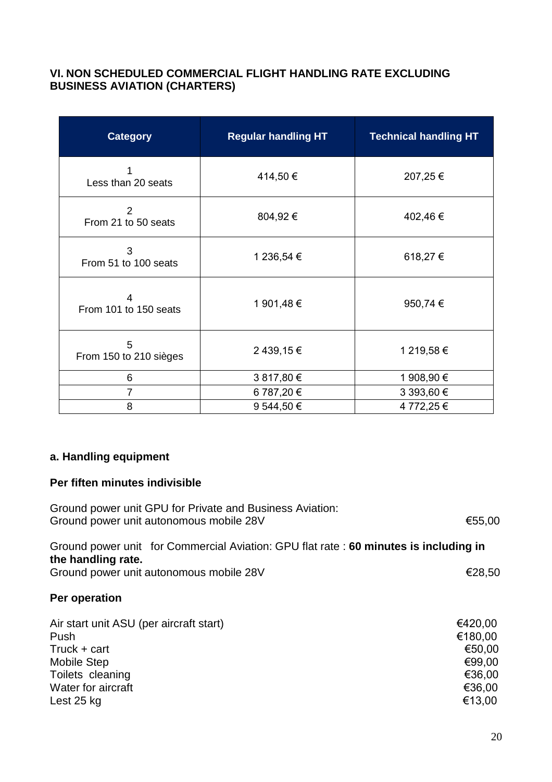# **VI. NON SCHEDULED COMMERCIAL FLIGHT HANDLING RATE EXCLUDING BUSINESS AVIATION (CHARTERS)**

| <b>Category</b>                      | <b>Regular handling HT</b> | <b>Technical handling HT</b> |
|--------------------------------------|----------------------------|------------------------------|
| Less than 20 seats                   | 414,50€                    | 207,25€                      |
| $\mathcal{P}$<br>From 21 to 50 seats | 804,92€                    | 402,46€                      |
| 3<br>From 51 to 100 seats            | 1 236,54 €                 | 618,27€                      |
| 4<br>From 101 to 150 seats           | 1 901,48 €                 | 950,74 €                     |
| 5<br>From 150 to 210 sièges          | 2 439,15 €                 | 1 219,58 €                   |
| 6                                    | 3 817,80 €                 | 1 908,90 €                   |
| $\overline{7}$                       | 6 787,20 €                 | 3 393,60 €                   |
| 8                                    | 9 544,50 €                 | 4 772,25 €                   |

# **a. Handling equipment**

#### **Per fiften minutes indivisible**

| Ground power unit GPU for Private and Business Aviation:<br>Ground power unit autonomous mobile 28V                                           | €55,00                                                               |
|-----------------------------------------------------------------------------------------------------------------------------------------------|----------------------------------------------------------------------|
| Ground power unit for Commercial Aviation: GPU flat rate: 60 minutes is including in<br>the handling rate.                                    |                                                                      |
| Ground power unit autonomous mobile 28V                                                                                                       | €28,50                                                               |
| Per operation                                                                                                                                 |                                                                      |
| Air start unit ASU (per aircraft start)<br>Push<br>Truck + cart<br><b>Mobile Step</b><br>Toilets cleaning<br>Water for aircraft<br>Lest 25 kg | €420,00<br>€180,00<br>€50,00<br>€99,00<br>€36,00<br>€36,00<br>€13,00 |